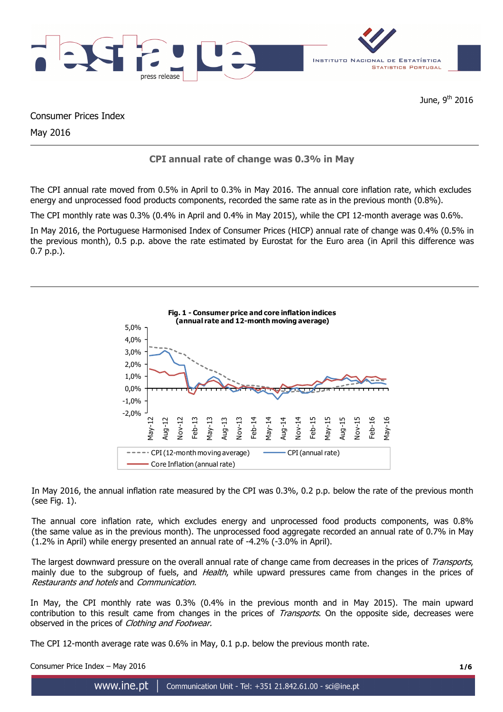

June, 9<sup>th</sup> 2016

Consumer Prices Index

May 2016

# **CPI annual rate of change was 0.3% in May**

The CPI annual rate moved from 0.5% in April to 0.3% in May 2016. The annual core inflation rate, which excludes energy and unprocessed food products components, recorded the same rate as in the previous month (0.8%).

The CPI monthly rate was 0.3% (0.4% in April and 0.4% in May 2015), while the CPI 12-month average was 0.6%.

In May 2016, the Portuguese Harmonised Index of Consumer Prices (HICP) annual rate of change was 0.4% (0.5% in the previous month), 0.5 p.p. above the rate estimated by Eurostat for the Euro area (in April this difference was 0.7 p.p.).



In May 2016, the annual inflation rate measured by the CPI was 0.3%, 0.2 p.p. below the rate of the previous month (see Fig. 1).

The annual core inflation rate, which excludes energy and unprocessed food products components, was 0.8% (the same value as in the previous month). The unprocessed food aggregate recorded an annual rate of 0.7% in May (1.2% in April) while energy presented an annual rate of -4.2% (-3.0% in April).

The largest downward pressure on the overall annual rate of change came from decreases in the prices of Transports, mainly due to the subgroup of fuels, and *Health*, while upward pressures came from changes in the prices of Restaurants and hotels and Communication.

In May, the CPI monthly rate was 0.3% (0.4% in the previous month and in May 2015). The main upward contribution to this result came from changes in the prices of *Transports*. On the opposite side, decreases were observed in the prices of Clothing and Footwear.

The CPI 12-month average rate was 0.6% in May, 0.1 p.p. below the previous month rate.

Consumer Price Index – May 2016 **1/6**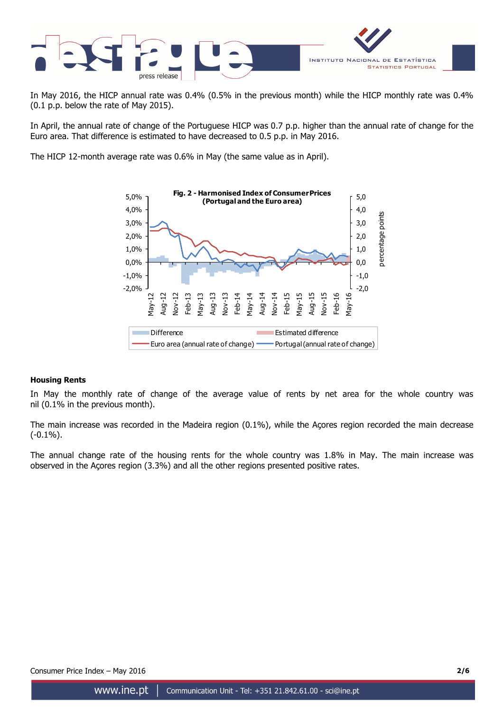

In May 2016, the HICP annual rate was 0.4% (0.5% in the previous month) while the HICP monthly rate was 0.4% (0.1 p.p. below the rate of May 2015).

In April, the annual rate of change of the Portuguese HICP was 0.7 p.p. higher than the annual rate of change for the Euro area. That difference is estimated to have decreased to 0.5 p.p. in May 2016.

The HICP 12-month average rate was 0.6% in May (the same value as in April).



## **Housing Rents**

In May the monthly rate of change of the average value of rents by net area for the whole country was nil (0.1% in the previous month).

The main increase was recorded in the Madeira region (0.1%), while the Açores region recorded the main decrease (-0.1%).

The annual change rate of the housing rents for the whole country was 1.8% in May. The main increase was observed in the Açores region (3.3%) and all the other regions presented positive rates.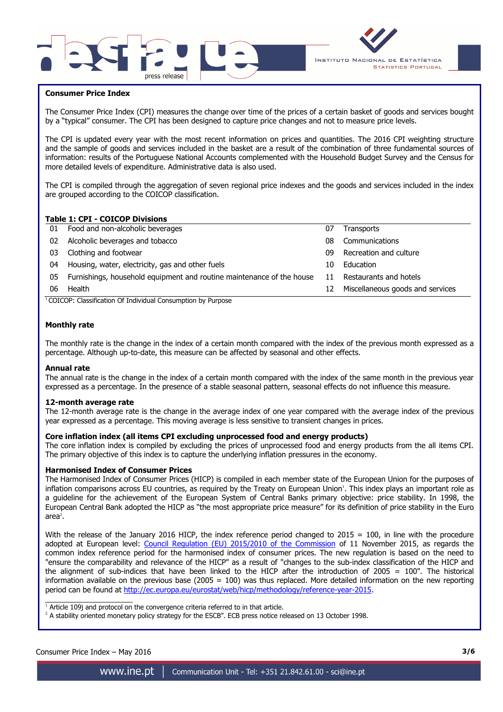



## **Consumer Price Index**

I

The Consumer Price Index (CPI) measures the change over time of the prices of a certain basket of goods and services bought by a "typical" consumer. The CPI has been designed to capture price changes and not to measure price levels.

The CPI is updated every year with the most recent information on prices and quantities. The 2016 CPI weighting structure and the sample of goods and services included in the basket are a result of the combination of three fundamental sources of information: results of the Portuguese National Accounts complemented with the Household Budget Survey and the Census for more detailed levels of expenditure. Administrative data is also used.

The CPI is compiled through the aggregation of seven regional price indexes and the goods and services included in the index are grouped according to the COICOP classification.

## **Table 1: CPI - COICOP Divisions**

| 01 | Food and non-alcoholic beverages                                      | 07 | <b>Transports</b>                |
|----|-----------------------------------------------------------------------|----|----------------------------------|
| 02 | Alcoholic beverages and tobacco                                       | 08 | Communications                   |
| 03 | Clothing and footwear                                                 | 09 | Recreation and culture           |
| 04 | Housing, water, electricity, gas and other fuels                      | 10 | Education                        |
| 05 | Furnishings, household equipment and routine maintenance of the house | 11 | Restaurants and hotels           |
| 06 | Health                                                                | 12 | Miscellaneous goods and services |
|    |                                                                       |    |                                  |

<sup>1</sup>COICOP: Classification Of Individual Consumption by Purpose

### **Monthly rate**

The monthly rate is the change in the index of a certain month compared with the index of the previous month expressed as a percentage. Although up-to-date, this measure can be affected by seasonal and other effects.

#### **Annual rate**

The annual rate is the change in the index of a certain month compared with the index of the same month in the previous year expressed as a percentage. In the presence of a stable seasonal pattern, seasonal effects do not influence this measure.

#### **12-month average rate**

The 12-month average rate is the change in the average index of one year compared with the average index of the previous year expressed as a percentage. This moving average is less sensitive to transient changes in prices.

### **Core inflation index (all items CPI excluding unprocessed food and energy products)**

The core inflation index is compiled by excluding the prices of unprocessed food and energy products from the all items CPI. The primary objective of this index is to capture the underlying inflation pressures in the economy.

#### **Harmonised Index of Consumer Prices**

The Harmonised Index of Consumer Prices (HICP) is compiled in each member state of the European Union for the purposes of inflation comparisons across EU countries, as required by the Treaty on European Union<sup>1</sup>. This index plays an important role as a guideline for the achievement of the European System of Central Banks primary objective: price stability. In 1998, the European Central Bank adopted the HICP as "the most appropriate price measure" for its definition of price stability in the Euro area $^2$ .

With the release of the January 2016 HICP, the index reference period changed to  $2015 = 100$ , in line with the procedure adopted at European level: Council Regulation (EU) 2015/2010 of the Commission of 11 November 2015, as regards the common index reference period for the harmonised index of consumer prices. The new regulation is based on the need to "ensure the comparability and relevance of the HICP" as a result of "changes to the sub-index classification of the HICP and the alignment of sub-indices that have been linked to the HICP after the introduction of 2005 = 100". The historical information available on the previous base (2005 = 100) was thus replaced. More detailed information on the new reporting period can be found at http://ec.europa.eu/eurostat/web/hicp/methodology/reference-year-2015.

1<br>Article 109j and protocol on the convergence criteria referred to in that article.

<sup>2</sup> A stability oriented monetary policy strategy for the ESCB". ECB press notice released on 13 October 1998.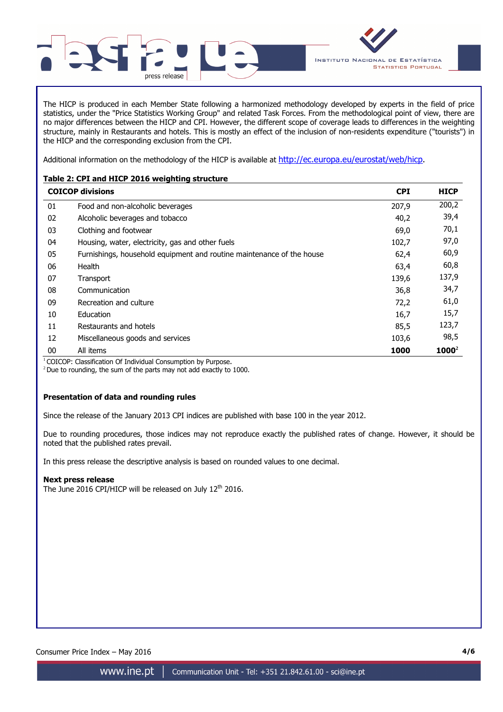

INSTITUTO NACIONAL DE ESTATÍSTICA **STATISTICS PORTUGAL** 

The HICP is produced in each Member State following a harmonized methodology developed by experts in the field of price statistics, under the "Price Statistics Working Group" and related Task Forces. From the methodological point of view, there are no major differences between the HICP and CPI. However, the different scope of coverage leads to differences in the weighting structure, mainly in Restaurants and hotels. This is mostly an effect of the inclusion of non-residents expenditure ("tourists") in the HICP and the corresponding exclusion from the CPI.

Additional information on the methodology of the HICP is available at http://ec.europa.eu/eurostat/web/hicp.

## **Table 2: CPI and HICP 2016 weighting structure**

|    | <b>COICOP divisions</b>                                               | <b>CPI</b> | <b>HICP</b> |
|----|-----------------------------------------------------------------------|------------|-------------|
| 01 | Food and non-alcoholic beverages                                      | 207,9      | 200,2       |
| 02 | Alcoholic beverages and tobacco                                       | 40,2       | 39,4        |
| 03 | Clothing and footwear                                                 | 69,0       | 70,1        |
| 04 | Housing, water, electricity, gas and other fuels                      | 102,7      | 97,0        |
| 05 | Furnishings, household equipment and routine maintenance of the house | 62,4       | 60,9        |
| 06 | Health                                                                | 63,4       | 60,8        |
| 07 | Transport                                                             | 139,6      | 137,9       |
| 08 | Communication                                                         | 36,8       | 34,7        |
| 09 | Recreation and culture                                                | 72,2       | 61,0        |
| 10 | Education                                                             | 16,7       | 15,7        |
| 11 | Restaurants and hotels                                                | 85,5       | 123,7       |
| 12 | Miscellaneous goods and services                                      | 103,6      | 98,5        |
| 00 | All items                                                             | 1000       | $1000^2$    |

<sup>1</sup> COICOP: Classification Of Individual Consumption by Purpose.

 $2$  Due to rounding, the sum of the parts may not add exactly to 1000.

## **Presentation of data and rounding rules**

Since the release of the January 2013 CPI indices are published with base 100 in the year 2012.

Due to rounding procedures, those indices may not reproduce exactly the published rates of change. However, it should be noted that the published rates prevail.

In this press release the descriptive analysis is based on rounded values to one decimal.

## **Next press release**

The June 2016 CPI/HICP will be released on July 12<sup>th</sup> 2016.

Consumer Price Index – May 2016 **4/6**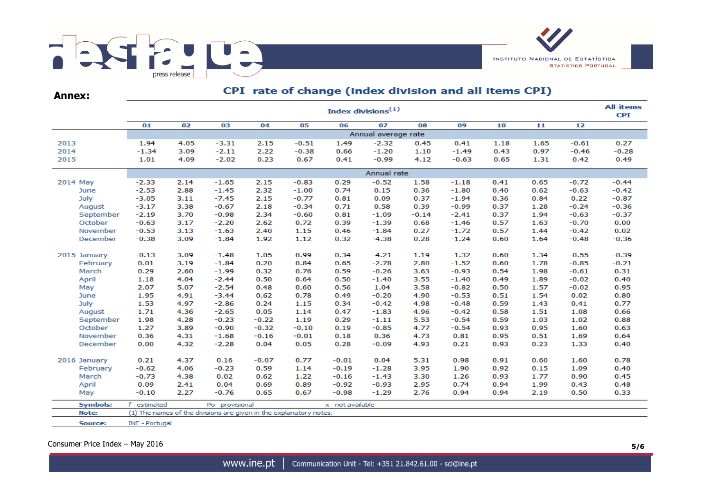

| <b>Annex:</b>   |                     | CPI rate of change (index division and all items CPI) |                                                                    |         |         |                 |                                |         |         |      |      |         |                                |  |  |  |  |  |
|-----------------|---------------------|-------------------------------------------------------|--------------------------------------------------------------------|---------|---------|-----------------|--------------------------------|---------|---------|------|------|---------|--------------------------------|--|--|--|--|--|
|                 |                     |                                                       |                                                                    |         |         |                 | Index divisions <sup>(1)</sup> |         |         |      |      |         | <b>All-items</b><br><b>CPI</b> |  |  |  |  |  |
|                 | 01                  | 02                                                    | 03                                                                 | 04      | 05      | 06              | 07                             | 08      | 09      | 10   | 11   | 12      |                                |  |  |  |  |  |
|                 | Annual average rate |                                                       |                                                                    |         |         |                 |                                |         |         |      |      |         |                                |  |  |  |  |  |
| 2013            | 1.94                | 4.05                                                  | $-3.31$                                                            | 2.15    | $-0.51$ | 1.49            | $-2.32$                        | 0.45    | 0.41    | 1.18 | 1.65 | $-0.61$ | 0.27                           |  |  |  |  |  |
| 2014            | $-1.34$             | 3.09                                                  | $-2.11$                                                            | 2.22    | $-0.38$ | 0.66            | $-1.20$                        | 1.10    | $-1.49$ | 0.43 | 0.97 | $-0.46$ | $-0.28$                        |  |  |  |  |  |
| 2015            | 1.01                | 4.09                                                  | $-2.02$                                                            | 0.23    | 0.67    | 0.41            | $-0.99$                        | 4.12    | $-0.63$ | 0.65 | 1.31 | 0.42    | 0.49                           |  |  |  |  |  |
|                 |                     |                                                       |                                                                    |         |         |                 | Annual rate                    |         |         |      |      |         |                                |  |  |  |  |  |
| 2014 May        | $-2.33$             | 2.14                                                  | $-1.65$                                                            | 2.15    | $-0.83$ | 0.29            | $-0.52$                        | 1.58    | $-1.18$ | 0.41 | 0.65 | $-0.72$ | $-0.44$                        |  |  |  |  |  |
| June            | $-2.53$             | 2.88                                                  | $-1.45$                                                            | 2.32    | $-1.00$ | 0.74            | 0.15                           | 0.36    | $-1.80$ | 0.40 | 0.62 | $-0.63$ | $-0.42$                        |  |  |  |  |  |
| July            | $-3.05$             | 3.11                                                  | $-7.45$                                                            | 2.15    | $-0.77$ | 0.81            | 0.09                           | 0.37    | $-1.94$ | 0.36 | 0.84 | 0.22    | $-0.87$                        |  |  |  |  |  |
| August          | $-3.17$             | 3.38                                                  | $-0.67$                                                            | 2.18    | $-0.34$ | 0.71            | 0.58                           | 0.39    | $-0.99$ | 0.37 | 1.28 | $-0.24$ | $-0.36$                        |  |  |  |  |  |
| September       | $-2.19$             | 3.70                                                  | $-0.98$                                                            | 2.34    | $-0.60$ | 0.81            | $-1.09$                        | $-0.14$ | $-2.41$ | 0.37 | 1.94 | $-0.63$ | $-0.37$                        |  |  |  |  |  |
| October         | $-0.63$             | 3.17                                                  | $-2.20$                                                            | 2.62    | 0.72    | 0.39            | $-1.39$                        | 0.68    | $-1.46$ | 0.57 | 1.63 | $-0.70$ | 0.00                           |  |  |  |  |  |
| November        | $-0.53$             | 3.13                                                  | $-1.63$                                                            | 2.40    | 1.15    | 0.46            | $-1.84$                        | 0.27    | $-1.72$ | 0.57 | 1.44 | $-0.42$ | 0.02                           |  |  |  |  |  |
| December        | $-0.38$             | 3.09                                                  | $-1.84$                                                            | 1.92    | 1.12    | 0.32            | $-4.38$                        | 0.28    | $-1.24$ | 0.60 | 1.64 | $-0.48$ | $-0.36$                        |  |  |  |  |  |
| 2015 January    | $-0.13$             | 3.09                                                  | $-1.48$                                                            | 1.05    | 0.99    | 0.34            | $-4.21$                        | 1.19    | $-1.32$ | 0.60 | 1.34 | $-0.55$ | $-0.39$                        |  |  |  |  |  |
| February        | 0.01                | 3.19                                                  | $-1.84$                                                            | 0.20    | 0.84    | 0.65            | $-2.78$                        | 2.80    | $-1.52$ | 0.60 | 1.78 | $-0.85$ | $-0.21$                        |  |  |  |  |  |
| March           | 0.29                | 2.60                                                  | $-1.99$                                                            | 0.32    | 0.76    | 0.59            | $-0.26$                        | 3.63    | $-0.93$ | 0.54 | 1.98 | $-0.61$ | 0.31                           |  |  |  |  |  |
| April           | 1.18                | 4.04                                                  | $-2.44$                                                            | 0.50    | 0.64    | 0.50            | $-1.40$                        | 3.55    | $-1.40$ | 0.49 | 1.89 | $-0.02$ | 0.40                           |  |  |  |  |  |
| May             | 2.07                | 5.07                                                  | $-2.54$                                                            | 0.48    | 0.60    | 0.56            | 1.04                           | 3.58    | $-0.82$ | 0.50 | 1.57 | $-0.02$ | 0.95                           |  |  |  |  |  |
| June            | 1.95                | 4.91                                                  | $-3.44$                                                            | 0.62    | 0.78    | 0.49            | $-0.20$                        | 4.90    | $-0.53$ | 0.51 | 1.54 | 0.02    | 0.80                           |  |  |  |  |  |
| July            | 1.53                | 4.97                                                  | $-2.86$                                                            | 0.24    | 1.15    | 0.34            | $-0.42$                        | 4.98    | $-0.48$ | 0.59 | 1.43 | 0.41    | 0.77                           |  |  |  |  |  |
| August          | 1.71                | 4.36                                                  | $-2.65$                                                            | 0.05    | 1.14    | 0.47            | $-1.83$                        | 4.96    | $-0.42$ | 0.58 | 1.51 | 1.08    | 0.66                           |  |  |  |  |  |
| September       | 1.98                | 4.28                                                  | $-0.23$                                                            | $-0.22$ | 1.19    | 0.29            | $-1.11$                        | 5.53    | $-0.54$ | 0.59 | 1.03 | 1.02    | 0.88                           |  |  |  |  |  |
| October         | 1.27                | 3.89                                                  | $-0.90$                                                            | $-0.32$ | $-0.10$ | 0.19            | $-0.85$                        | 4.77    | $-0.54$ | 0.93 | 0.95 | 1.60    | 0.63                           |  |  |  |  |  |
| November        | 0.36                | 4.31                                                  | $-1.68$                                                            | $-0.16$ | $-0.01$ | 0.18            | 0.36                           | 4.73    | 0.81    | 0.95 | 0.51 | 1.69    | 0.64                           |  |  |  |  |  |
| December        | 0.00                | 4.32                                                  | $-2.28$                                                            | 0.04    | 0.05    | 0.28            | $-0.09$                        | 4.93    | 0.21    | 0.93 | 0.23 | 1.33    | 0.40                           |  |  |  |  |  |
| 2016 January    | 0.21                | 4.37                                                  | 0.16                                                               | $-0.07$ | 0.77    | $-0.01$         | 0.04                           | 5.31    | 0.98    | 0.91 | 0.60 | 1.60    | 0.78                           |  |  |  |  |  |
| February        | $-0.62$             | 4.06                                                  | $-0.23$                                                            | 0.59    | 1.14    | $-0.19$         | $-1.28$                        | 3.95    | 1.90    | 0.92 | 0.15 | 1.09    | 0.40                           |  |  |  |  |  |
| March           | $-0.73$             | 4.38                                                  | 0.02                                                               | 0.62    | 1.22    | $-0.16$         | $-1.43$                        | 3.30    | 1.26    | 0.93 | 1.77 | 0.90    | 0.45                           |  |  |  |  |  |
| April           | 0.09                | 2.41                                                  | 0.04                                                               | 0.69    | 0.89    | $-0.92$         | $-0.93$                        | 2.95    | 0.74    | 0.94 | 1.99 | 0.43    | 0.48                           |  |  |  |  |  |
| May             | $-0.10$             | 2.27                                                  | $-0.76$                                                            | 0.65    | 0.67    | $-0.98$         | $-1.29$                        | 2.76    | 0.94    | 0.94 | 2.19 | 0.50    | 0.33                           |  |  |  |  |  |
| <b>Symbols:</b> | £.<br>estimated     |                                                       | Po provisional                                                     |         |         | x not available |                                |         |         |      |      |         |                                |  |  |  |  |  |
| Note:           |                     |                                                       | (1) The names of the divisions are given in the explanatory notes. |         |         |                 |                                |         |         |      |      |         |                                |  |  |  |  |  |

 $\sim$  $\sim$ 

Source:

INE - Portugal

Consumer Price Index – May 2016 **5/6**